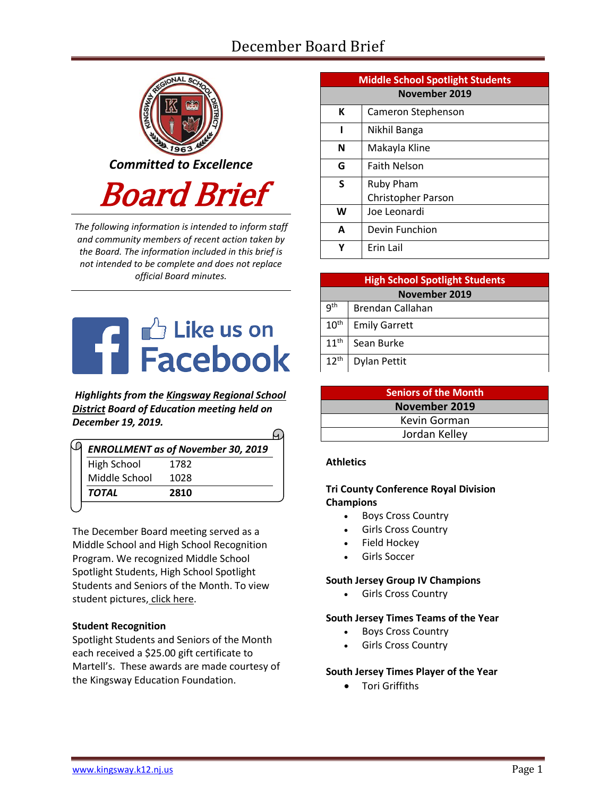# December Board Brief



*The following information is intended to inform staff and community members of recent action taken by the Board. The information included in this brief is not intended to be complete and does not replace official Board minutes.*



*Highlights from the [Kingsway Regional School](https://www.facebook.com/KingswayDragons)  [District](https://www.facebook.com/KingswayDragons) Board of Education meeting held on December 19, 2019.*

| High School   | 1782 |
|---------------|------|
| Middle School | 1028 |

The December Board meeting served as a Middle School and High School Recognition Program. We recognized Middle School Spotlight Students, High School Spotlight Students and Seniors of the Month. To view student pictures, [click here.](http://www.krsd.org/Page/1303)

# **Student Recognition**

Spotlight Students and Seniors of the Month each received a \$25.00 gift certificate to Martell's. These awards are made courtesy of the Kingsway Education Foundation.

| <b>Middle School Spotlight Students</b> |                     |  |
|-----------------------------------------|---------------------|--|
| November 2019                           |                     |  |
| К                                       | Cameron Stephenson  |  |
| ı                                       | Nikhil Banga        |  |
| N                                       | Makayla Kline       |  |
| G                                       | <b>Faith Nelson</b> |  |
| S                                       | <b>Ruby Pham</b>    |  |
|                                         | Christopher Parson  |  |
| W                                       | Joe Leonardi        |  |
| A                                       | Devin Funchion      |  |
| Υ                                       | Erin Lail           |  |

| <b>High School Spotlight Students</b> |                      |  |
|---------------------------------------|----------------------|--|
| November 2019                         |                      |  |
| 9 <sup>th</sup>                       | Brendan Callahan     |  |
| 10 <sup>th</sup>                      | <b>Emily Garrett</b> |  |
| 11 <sup>th</sup>                      | Sean Burke           |  |
| $12^{th}$                             | Dylan Pettit         |  |

| <b>Seniors of the Month</b> |  |  |
|-----------------------------|--|--|
| November 2019               |  |  |
| Kevin Gorman                |  |  |
| Jordan Kelley               |  |  |

# **Athletics**

# **Tri County Conference Royal Division Champions**

- Boys Cross Country
- Girls Cross Country
- Field Hockey
- Girls Soccer

### **South Jersey Group IV Champions**

Girls Cross Country

### **South Jersey Times Teams of the Year**

- Boys Cross Country
- Girls Cross Country

# **South Jersey Times Player of the Year**

Tori Griffiths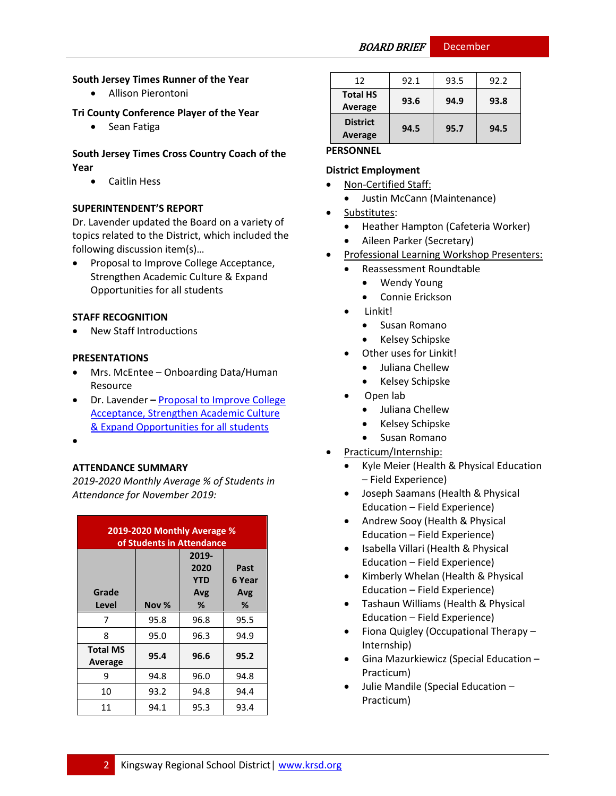BOARD BRIEF December

### **South Jersey Times Runner of the Year**

Allison Pierontoni

### **Tri County Conference Player of the Year**

• Sean Fatiga

### **South Jersey Times Cross Country Coach of the Year**

Caitlin Hess

### **SUPERINTENDENT'S REPORT**

Dr. Lavender updated the Board on a variety of topics related to the District, which included the following discussion item(s)…

 Proposal to Improve College Acceptance, Strengthen Academic Culture & Expand Opportunities for all students

### **STAFF RECOGNITION**

New Staff Introductions

### **PRESENTATIONS**

- Mrs. McEntee Onboarding Data/Human Resource
- Dr. Lavender **–** [Proposal to Improve College](https://www.krsd.org/Page/1649)  [Acceptance, Strengthen Academic Culture](https://www.krsd.org/Page/1649)  [& Expand Opportunities for all students](https://www.krsd.org/Page/1649)
- $\bullet$

### **ATTENDANCE SUMMARY**

*2019-2020 Monthly Average % of Students in Attendance for November 2019:*

| 2019-2020 Monthly Average %<br>of Students in Attendance |       |                                    |                       |
|----------------------------------------------------------|-------|------------------------------------|-----------------------|
| Grade                                                    |       | 2019-<br>2020<br><b>YTD</b><br>Avg | Past<br>6 Year<br>Avg |
| Level                                                    | Nov % | %                                  | %                     |
| 7                                                        | 95.8  | 96.8                               | 95.5                  |
| 8                                                        | 95.0  | 96.3                               | 94.9                  |
| <b>Total MS</b><br>Average                               | 95.4  | 96.6                               | 95.2                  |
| 9                                                        | 94.8  | 96.0                               | 94.8                  |
| 10                                                       | 93.2  | 94.8                               | 94.4                  |
| 11                                                       | 94.1  | 95.3                               | 93.4                  |

| 12                         | 92.1 | 93.5 | 92.2 |
|----------------------------|------|------|------|
| <b>Total HS</b><br>Average | 93.6 | 94.9 | 93.8 |
| <b>District</b><br>Average | 94.5 | 95.7 | 94.5 |

# **PERSONNEL**

# **District Employment**

- Non-Certified Staff:
	- Justin McCann (Maintenance)
- Substitutes:
	- Heather Hampton (Cafeteria Worker)
	- Aileen Parker (Secretary)
- Professional Learning Workshop Presenters:
	- Reassessment Roundtable
		- Wendy Young
		- Connie Erickson
		- Linkit!
			- Susan Romano
			- Kelsey Schipske
	- Other uses for Linkit!
		- Juliana Chellew
		- Kelsey Schipske
	- Open lab
		- Juliana Chellew
		- Kelsey Schipske
		- **•** Susan Romano
	- Practicum/Internship:
	- Kyle Meier (Health & Physical Education – Field Experience)
	- Joseph Saamans (Health & Physical Education – Field Experience)
	- Andrew Sooy (Health & Physical Education – Field Experience)
	- Isabella Villari (Health & Physical Education – Field Experience)
	- Kimberly Whelan (Health & Physical Education – Field Experience)
	- Tashaun Williams (Health & Physical Education – Field Experience)
	- Fiona Quigley (Occupational Therapy -Internship)
	- Gina Mazurkiewicz (Special Education Practicum)
	- Julie Mandile (Special Education Practicum)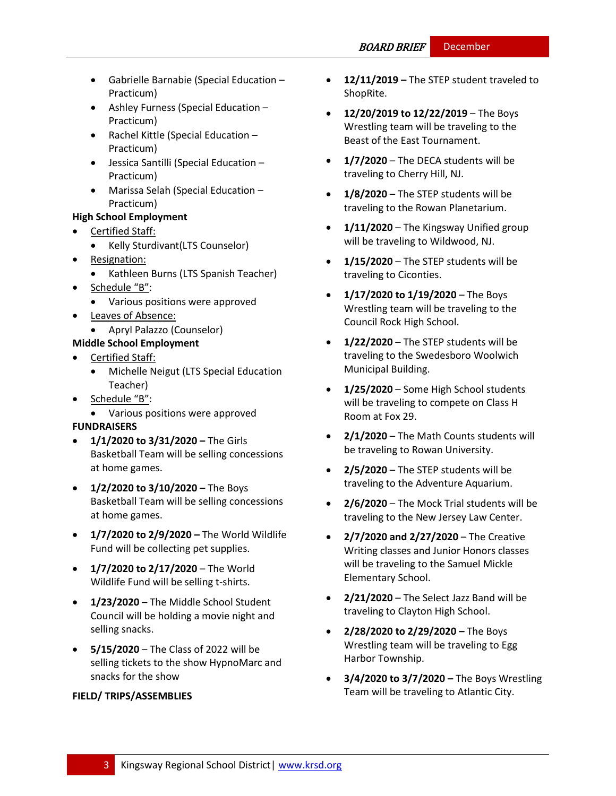- Gabrielle Barnabie (Special Education Practicum)
- Ashley Furness (Special Education Practicum)
- Rachel Kittle (Special Education Practicum)
- Jessica Santilli (Special Education Practicum)
- Marissa Selah (Special Education Practicum)

# **High School Employment**

- Certified Staff:
- Kelly Sturdivant(LTS Counselor)
- Resignation:
	- Kathleen Burns (LTS Spanish Teacher)
- Schedule "B":
	- Various positions were approved
- Leaves of Absence:
	- Apryl Palazzo (Counselor)
- **Middle School Employment**
- Certified Staff:
	- Michelle Neigut (LTS Special Education Teacher)
- Schedule "B":
- Various positions were approved **FUNDRAISERS**
- **1/1/2020 to 3/31/2020 –** The Girls Basketball Team will be selling concessions at home games.
- **1/2/2020 to 3/10/2020 –** The Boys Basketball Team will be selling concessions at home games.
- **1/7/2020 to 2/9/2020 –** The World Wildlife Fund will be collecting pet supplies.
- **1/7/2020 to 2/17/2020** The World Wildlife Fund will be selling t-shirts.
- **1/23/2020 –** The Middle School Student Council will be holding a movie night and selling snacks.
- **5/15/2020** The Class of 2022 will be selling tickets to the show HypnoMarc and snacks for the show

# **FIELD/ TRIPS/ASSEMBLIES**

- **12/11/2019 –** The STEP student traveled to ShopRite.
- **12/20/2019 to 12/22/2019** The Boys Wrestling team will be traveling to the Beast of the East Tournament.
- **1/7/2020** The DECA students will be traveling to Cherry Hill, NJ.
- **1/8/2020** The STEP students will be traveling to the Rowan Planetarium.
- **1/11/2020**  The Kingsway Unified group will be traveling to Wildwood, NJ.
- **1/15/2020** The STEP students will be traveling to Ciconties.
- **1/17/2020 to 1/19/2020** The Boys Wrestling team will be traveling to the Council Rock High School.
- **1/22/2020** The STEP students will be traveling to the Swedesboro Woolwich Municipal Building.
- **1/25/2020** Some High School students will be traveling to compete on Class H Room at Fox 29.
- **2/1/2020**  The Math Counts students will be traveling to Rowan University.
- **2/5/2020** The STEP students will be traveling to the Adventure Aquarium.
- **2/6/2020** The Mock Trial students will be traveling to the New Jersey Law Center.
- **2/7/2020 and 2/27/2020** The Creative Writing classes and Junior Honors classes will be traveling to the Samuel Mickle Elementary School.
- **2/21/2020** The Select Jazz Band will be traveling to Clayton High School.
- **2/28/2020 to 2/29/2020 –** The Boys Wrestling team will be traveling to Egg Harbor Township.
- **3/4/2020 to 3/7/2020 –** The Boys Wrestling Team will be traveling to Atlantic City.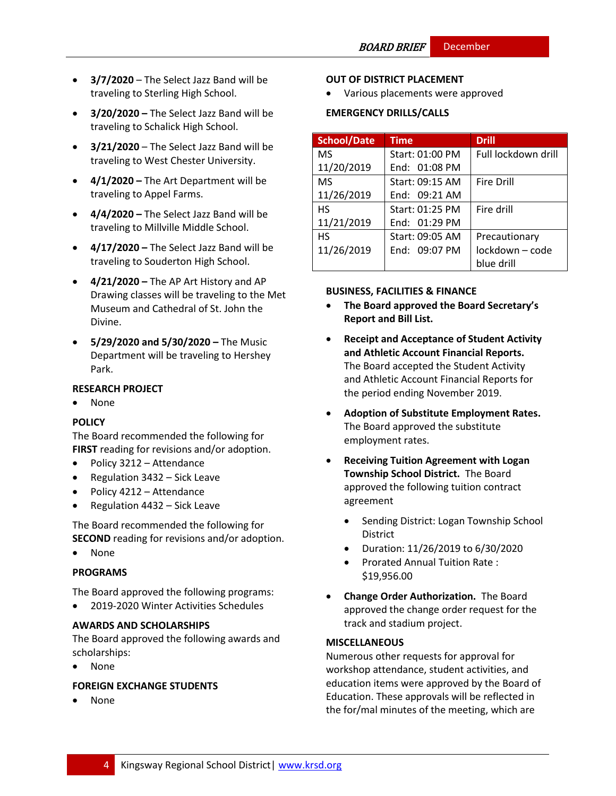- **3/7/2020** The Select Jazz Band will be traveling to Sterling High School.
- **3/20/2020 –** The Select Jazz Band will be traveling to Schalick High School.
- **3/21/2020** The Select Jazz Band will be traveling to West Chester University.
- **4/1/2020 –** The Art Department will be traveling to Appel Farms.
- **4/4/2020 –** The Select Jazz Band will be traveling to Millville Middle School.
- **4/17/2020 –** The Select Jazz Band will be traveling to Souderton High School.
- **4/21/2020 –** The AP Art History and AP Drawing classes will be traveling to the Met Museum and Cathedral of St. John the Divine.
- **5/29/2020 and 5/30/2020 –** The Music Department will be traveling to Hershey Park.

# **RESEARCH PROJECT**

• None

# **[POLICY](http://www.straussesmay.com/seportal/Public/DistrictPolicyTOC.aspx?id=f0cc945ef3894b8d9ad5f87d948ca425&PolicyID=)**

The Board recommended the following for **FIRST** reading for revisions and/or adoption.

- Policy 3212 Attendance
- Regulation  $3432 -$  Sick Leave
- Policy 4212 Attendance
- Regulation 4432 Sick Leave

The Board recommended the following for **SECOND** reading for revisions and/or adoption.

None

# **PROGRAMS**

The Board approved the following programs:

2019-2020 Winter Activities Schedules

### **AWARDS AND SCHOLARSHIPS**

The Board approved the following awards and scholarships:

None

# **FOREIGN EXCHANGE STUDENTS**

None

### **OUT OF DISTRICT PLACEMENT**

Various placements were approved

# **EMERGENCY DRILLS/CALLS**

| <b>School/Date</b> | <b>Time</b>     | <b>Drill</b>        |
|--------------------|-----------------|---------------------|
| <b>MS</b>          | Start: 01:00 PM | Full lockdown drill |
| 11/20/2019         | End: 01:08 PM   |                     |
| <b>MS</b>          | Start: 09:15 AM | <b>Fire Drill</b>   |
| 11/26/2019         | End: 09:21 AM   |                     |
| <b>HS</b>          | Start: 01:25 PM | Fire drill          |
| 11/21/2019         | End: 01:29 PM   |                     |
| <b>HS</b>          | Start: 09:05 AM | Precautionary       |
| 11/26/2019         | End: 09:07 PM   | lockdown - code     |
|                    |                 | blue drill          |

### **BUSINESS, FACILITIES & FINANCE**

- **The Board approved the Board Secretary's Report and Bill List.**
- **Receipt and Acceptance of Student Activity and Athletic Account Financial Reports.**  The Board accepted the Student Activity and Athletic Account Financial Reports for the period ending November 2019.
- **Adoption of Substitute Employment Rates.**  The Board approved the substitute employment rates.
- **Receiving Tuition Agreement with Logan Township School District.** The Board approved the following tuition contract agreement
	- Sending District: Logan Township School District
	- Duration: 11/26/2019 to 6/30/2020
	- Prorated Annual Tuition Rate : \$19,956.00
- **Change Order Authorization.** The Board approved the change order request for the track and stadium project.

### **MISCELLANEOUS**

Numerous other requests for approval for workshop attendance, student activities, and education items were approved by the Board of Education. These approvals will be reflected in the for/mal minutes of the meeting, which are